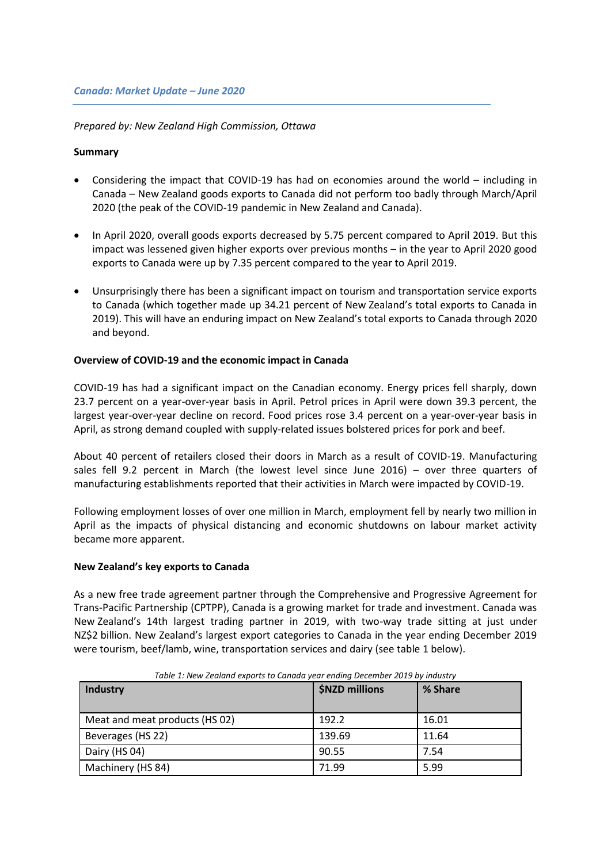# *Prepared by: New Zealand High Commission, Ottawa*

## **Summary**

- Considering the impact that COVID-19 has had on economies around the world including in Canada – New Zealand goods exports to Canada did not perform too badly through March/April 2020 (the peak of the COVID-19 pandemic in New Zealand and Canada).
- In April 2020, overall goods exports decreased by 5.75 percent compared to April 2019. But this impact was lessened given higher exports over previous months – in the year to April 2020 good exports to Canada were up by 7.35 percent compared to the year to April 2019.
- Unsurprisingly there has been a significant impact on tourism and transportation service exports to Canada (which together made up 34.21 percent of New Zealand's total exports to Canada in 2019). This will have an enduring impact on New Zealand's total exports to Canada through 2020 and beyond.

## **Overview of COVID-19 and the economic impact in Canada**

COVID-19 has had a significant impact on the Canadian economy. Energy prices fell sharply, down 23.7 percent on a year-over-year basis in April. Petrol prices in April were down 39.3 percent, the largest year-over-year decline on record. Food prices rose 3.4 percent on a year-over-year basis in April, as strong demand coupled with supply-related issues bolstered prices for pork and beef.

About 40 percent of retailers closed their doors in March as a result of COVID-19. Manufacturing sales fell 9.2 percent in March (the lowest level since June 2016) – over three quarters of manufacturing establishments reported that their activities in March were impacted by COVID-19.

Following employment losses of over one million in March, employment fell by nearly two million in April as the impacts of physical distancing and economic shutdowns on labour market activity became more apparent.

### **New Zealand's key exports to Canada**

As a new free trade agreement partner through the Comprehensive and Progressive Agreement for Trans-Pacific Partnership (CPTPP), Canada is a growing market for trade and investment. Canada was New Zealand's 14th largest trading partner in 2019, with two-way trade sitting at just under NZ\$2 billion. New Zealand's largest export categories to Canada in the year ending December 2019 were tourism, beef/lamb, wine, transportation services and dairy (see table 1 below).

| <b>Industry</b>                | \$NZD millions | % Share |  |
|--------------------------------|----------------|---------|--|
| Meat and meat products (HS 02) | 192.2          | 16.01   |  |
| Beverages (HS 22)              | 139.69         | 11.64   |  |
| Dairy (HS 04)                  | 90.55          | 7.54    |  |
| Machinery (HS 84)              | 71.99          | 5.99    |  |

*Table 1: New Zealand exports to Canada year ending December 2019 by industry*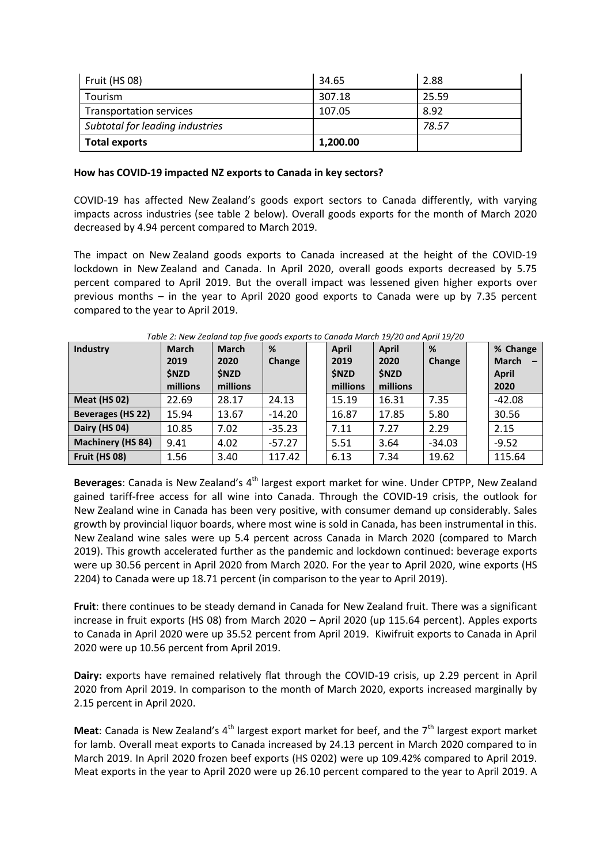| Fruit (HS 08)                   | 34.65    | 2.88  |
|---------------------------------|----------|-------|
| Tourism                         | 307.18   | 25.59 |
| Transportation services         | 107.05   | 8.92  |
| Subtotal for leading industries |          | 78.57 |
| <b>Total exports</b>            | 1,200.00 |       |

## **How has COVID-19 impacted NZ exports to Canada in key sectors?**

COVID-19 has affected New Zealand's goods export sectors to Canada differently, with varying impacts across industries (see table 2 below). Overall goods exports for the month of March 2020 decreased by 4.94 percent compared to March 2019.

The impact on New Zealand goods exports to Canada increased at the height of the COVID-19 lockdown in New Zealand and Canada. In April 2020, overall goods exports decreased by 5.75 percent compared to April 2019. But the overall impact was lessened given higher exports over previous months – in the year to April 2020 good exports to Canada were up by 7.35 percent compared to the year to April 2019.

| <b>Industry</b>          | <b>March</b><br>2019<br><b>SNZD</b> | <b>March</b><br>2020<br><b>\$NZD</b> | %<br>Change | April<br>2019<br><b>\$NZD</b> | <b>April</b><br>2020<br><b>SNZD</b> | %<br>Change | % Change<br><b>March</b><br><b>April</b> |
|--------------------------|-------------------------------------|--------------------------------------|-------------|-------------------------------|-------------------------------------|-------------|------------------------------------------|
|                          | millions                            | millions                             |             | millions                      | millions                            |             | 2020                                     |
| <b>Meat (HS 02)</b>      | 22.69                               | 28.17                                | 24.13       | 15.19                         | 16.31                               | 7.35        | $-42.08$                                 |
| <b>Beverages (HS 22)</b> | 15.94                               | 13.67                                | $-14.20$    | 16.87                         | 17.85                               | 5.80        | 30.56                                    |
| Dairy (HS 04)            | 10.85                               | 7.02                                 | $-35.23$    | 7.11                          | 7.27                                | 2.29        | 2.15                                     |
| <b>Machinery (HS 84)</b> | 9.41                                | 4.02                                 | $-57.27$    | 5.51                          | 3.64                                | $-34.03$    | $-9.52$                                  |
| Fruit (HS 08)            | 1.56                                | 3.40                                 | 117.42      | 6.13                          | 7.34                                | 19.62       | 115.64                                   |

*Table 2: New Zealand top five goods exports to Canada March 19/20 and April 19/20*

Beverages: Canada is New Zealand's 4<sup>th</sup> largest export market for wine. Under CPTPP, New Zealand gained tariff-free access for all wine into Canada. Through the COVID-19 crisis, the outlook for New Zealand wine in Canada has been very positive, with consumer demand up considerably. Sales growth by provincial liquor boards, where most wine is sold in Canada, has been instrumental in this. New Zealand wine sales were up 5.4 percent across Canada in March 2020 (compared to March 2019). This growth accelerated further as the pandemic and lockdown continued: beverage exports were up 30.56 percent in April 2020 from March 2020. For the year to April 2020, wine exports (HS 2204) to Canada were up 18.71 percent (in comparison to the year to April 2019).

**Fruit**: there continues to be steady demand in Canada for New Zealand fruit. There was a significant increase in fruit exports (HS 08) from March 2020 – April 2020 (up 115.64 percent). Apples exports to Canada in April 2020 were up 35.52 percent from April 2019. Kiwifruit exports to Canada in April 2020 were up 10.56 percent from April 2019.

**Dairy:** exports have remained relatively flat through the COVID-19 crisis, up 2.29 percent in April 2020 from April 2019. In comparison to the month of March 2020, exports increased marginally by 2.15 percent in April 2020.

**Meat**: Canada is New Zealand's  $4<sup>th</sup>$  largest export market for beef, and the  $7<sup>th</sup>$  largest export market for lamb. Overall meat exports to Canada increased by 24.13 percent in March 2020 compared to in March 2019. In April 2020 frozen beef exports (HS 0202) were up 109.42% compared to April 2019. Meat exports in the year to April 2020 were up 26.10 percent compared to the year to April 2019. A